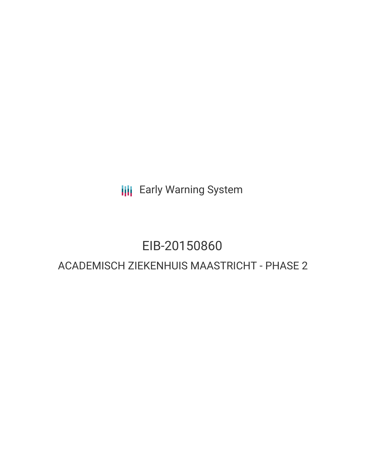**III** Early Warning System

# EIB-20150860

# ACADEMISCH ZIEKENHUIS MAASTRICHT - PHASE 2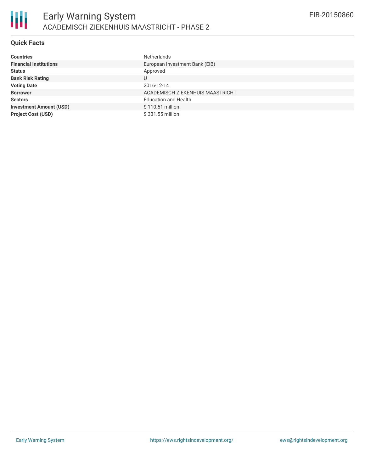## **Quick Facts**

| <b>Countries</b>               | <b>Netherlands</b>               |
|--------------------------------|----------------------------------|
| <b>Financial Institutions</b>  | European Investment Bank (EIB)   |
| <b>Status</b>                  | Approved                         |
| <b>Bank Risk Rating</b>        | U                                |
| <b>Voting Date</b>             | 2016-12-14                       |
| <b>Borrower</b>                | ACADEMISCH ZIEKENHUIS MAASTRICHT |
| <b>Sectors</b>                 | <b>Education and Health</b>      |
| <b>Investment Amount (USD)</b> | \$110.51 million                 |
| <b>Project Cost (USD)</b>      | \$331.55 million                 |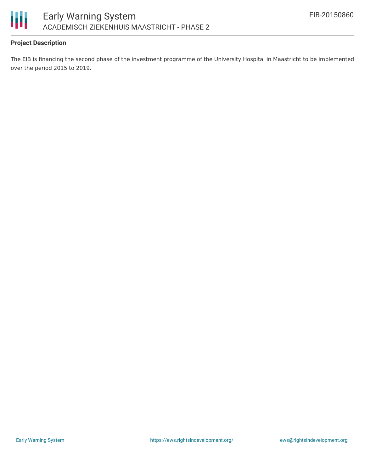

## **Project Description**

The EIB is financing the second phase of the investment programme of the University Hospital in Maastricht to be implemented over the period 2015 to 2019.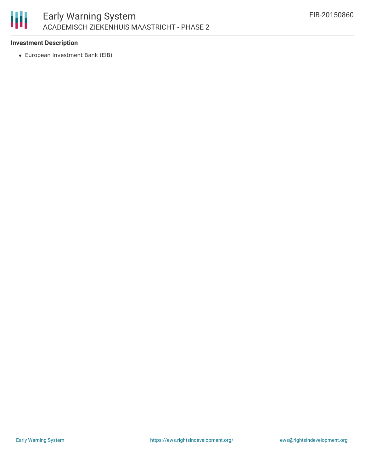

#### **Investment Description**

European Investment Bank (EIB)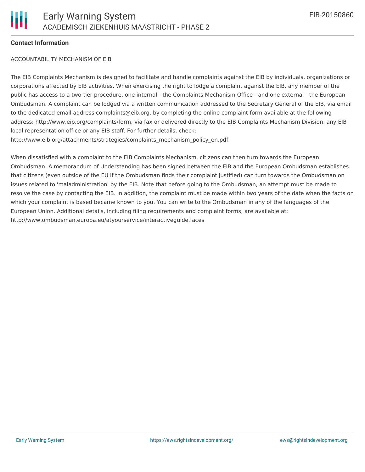#### **Contact Information**

#### ACCOUNTABILITY MECHANISM OF EIB

The EIB Complaints Mechanism is designed to facilitate and handle complaints against the EIB by individuals, organizations or corporations affected by EIB activities. When exercising the right to lodge a complaint against the EIB, any member of the public has access to a two-tier procedure, one internal - the Complaints Mechanism Office - and one external - the European Ombudsman. A complaint can be lodged via a written communication addressed to the Secretary General of the EIB, via email to the dedicated email address complaints@eib.org, by completing the online complaint form available at the following address: http://www.eib.org/complaints/form, via fax or delivered directly to the EIB Complaints Mechanism Division, any EIB local representation office or any EIB staff. For further details, check: http://www.eib.org/attachments/strategies/complaints\_mechanism\_policy\_en.pdf

When dissatisfied with a complaint to the EIB Complaints Mechanism, citizens can then turn towards the European Ombudsman. A memorandum of Understanding has been signed between the EIB and the European Ombudsman establishes that citizens (even outside of the EU if the Ombudsman finds their complaint justified) can turn towards the Ombudsman on issues related to 'maladministration' by the EIB. Note that before going to the Ombudsman, an attempt must be made to resolve the case by contacting the EIB. In addition, the complaint must be made within two years of the date when the facts on which your complaint is based became known to you. You can write to the Ombudsman in any of the languages of the European Union. Additional details, including filing requirements and complaint forms, are available at: http://www.ombudsman.europa.eu/atyourservice/interactiveguide.faces